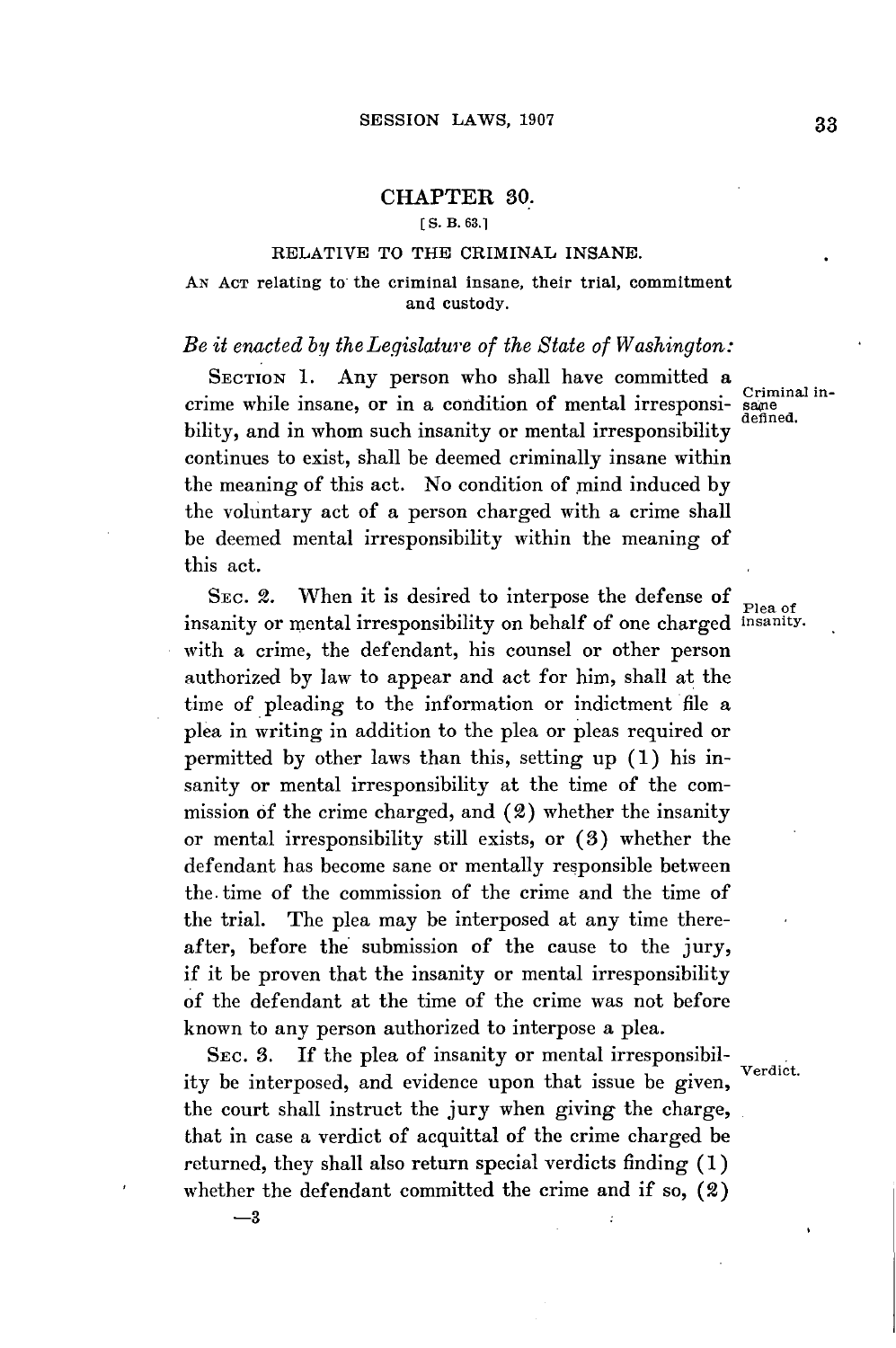# **CHAPTER 30.**

# *[* **S.** B. **63.1**

### RELATIVE TO THE CRIMINAL **INSANE.**

# **AN ACT** relating to the criminal insane, their trial, commitment and custody.

# *Be it enacted by theLegislature of the State of Washington:*

SECTION 1. Any person who shall have committed a exercise a criminal in-<br>crime while insane, or in a condition of mental irresponsi- sane<br>defined. bility, and in whom such insanity or mental irresponsibility continues to exist, shall be deemed criminally insane within the meaning of this act. No condition of mind induced **by** the voluntary act of a person charged with a crime shall be deemed mental irresponsibility within the meaning of this act.

SEC. 2. When it is desired to interpose the defense of Plea of insanity or mental irresponsibility on behalf of one charged insanity. with a crime, the defendant, his counsel or other person authorized **by** law to appear and act for him, shall at the time of pleading to the information or indictment file a plea in writing in addition to the plea or pleas required or permitted **by** other laws than this, setting up **(1)** his insanity or mental irresponsibility at the time of the commission **of** the crime charged, and **(2)** whether the insanity or mental irresponsibility still exists, or **(3)** whether the defendant has become sane or mentally responsible between the. time of the commission of the crime and the time of the trial. The plea may be interposed at any time thereafter, before the submission of the cause to the jury, if it be proven that the insanity or mental irresponsibility of the defendant at the time of the crime was not before known to any person authorized to interpose a plea.<br>Sec. 3. If the plea of insanity or mental irresponsibil-

SEC. 3. If the plea of insanity or mental irresponsibil-<br>ity be interposed, and evidence upon that issue be given, the court shall instruct the jury when giving the charge, that in case a verdict of acquittal of the crime charged be returned, they shall also return special verdicts finding **(1)** whether the defendant committed the crime and if so,  $(2)$ 

**-3**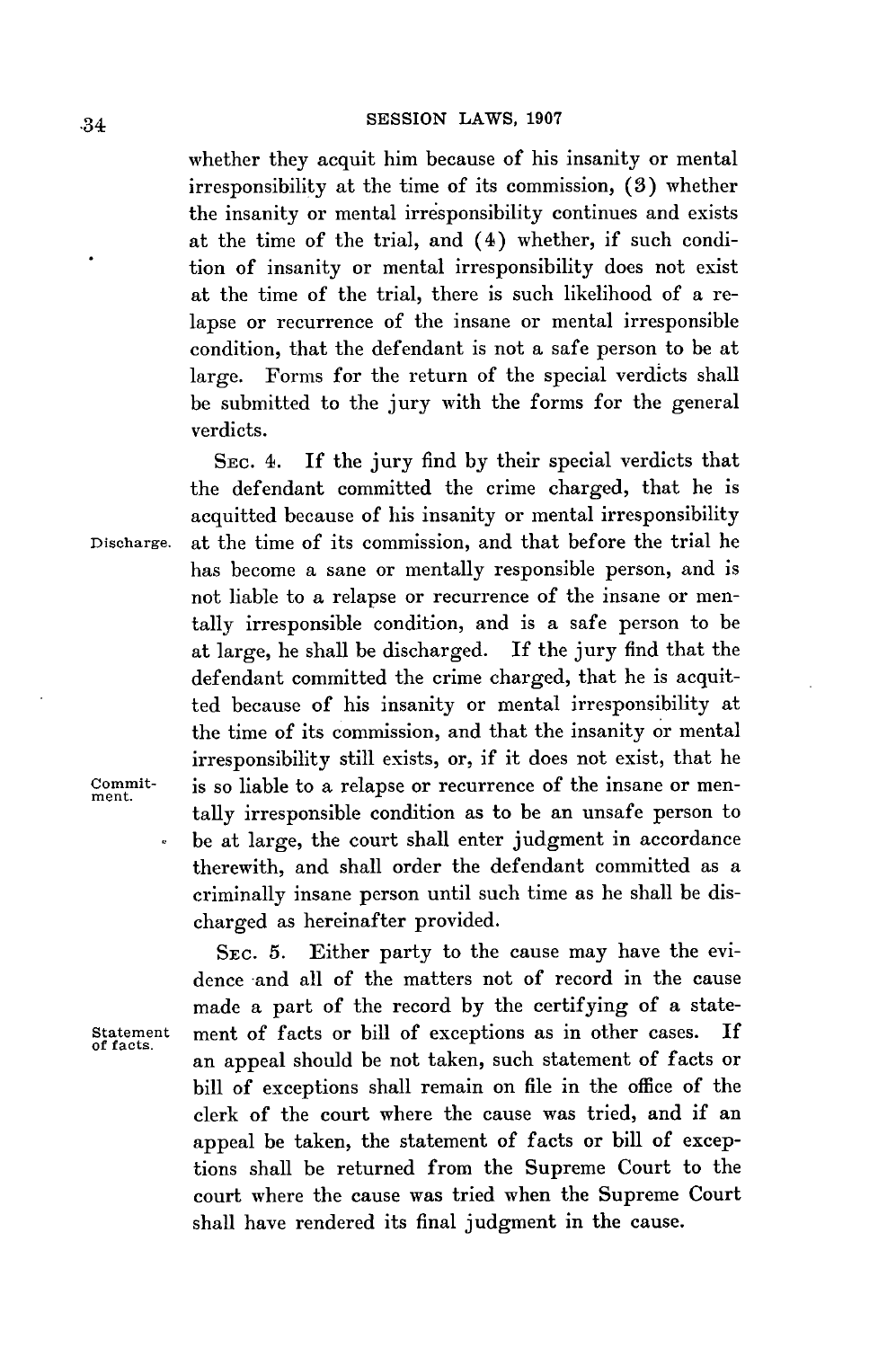whether they acquit him because of his insanity or mental irresponsibility at the time of its commission, **(3)** whether the insanity or mental irresponsibility continues and exists at the time of the trial, and (4) whether, if such condition of insanity or mental irresponsibility does not exist at the time of the trial, there is such likelihood of a relapse or recurrence of the insane or mental irresponsible condition, that the defendant is not a safe person to be at large. Forms for the return of the special verdicts shall be submitted to the jury with the forms for the general verdicts.

of facts.

**SEc.** 4. If the jury find **by** their special verdicts that the defendant committed the crime charged, that he is acquitted because of his insanity or mental irresponsibility Discharge. at the time of its commission, and that before the trial he has become a sane or mentally responsible person, and is not liable to a relapse or recurrence of the insane or mentally irresponsible condition, and is a safe person to be at large, he shall be discharged. **If** the jury find that the defendant committed the crime charged, that he is acquitted because of his insanity or mental irresponsibility at the time of its commission, and that the insanity or mental irresponsibility still exists, or, if it does not exist, that he Commit- is so liable to a relapse or recurrence of the insane or mentally irresponsible condition as to be an unsafe person to be at large, the court shall enter judgment in accordance therewith, and shall order the defendant committed as a criminally insane person until such time as he shall be discharged as hereinafter provided.

**SEc. 5.** Either party to the cause may have the evidence -and all of the matters not of record in the cause made a part of the record **by** the certifying of a state-Statement ment of facts or bill of exceptions as in other cases. **If** an appeal should be not taken, such statement of facts or bill of exceptions shall remain on file in the office of the clerk of the court where the cause was tried, and if an appeal be taken, the statement of facts or bill of exceptions shall be returned from the Supreme Court to the court where the cause was tried when the Supreme Court shall have rendered its final judgment in the cause.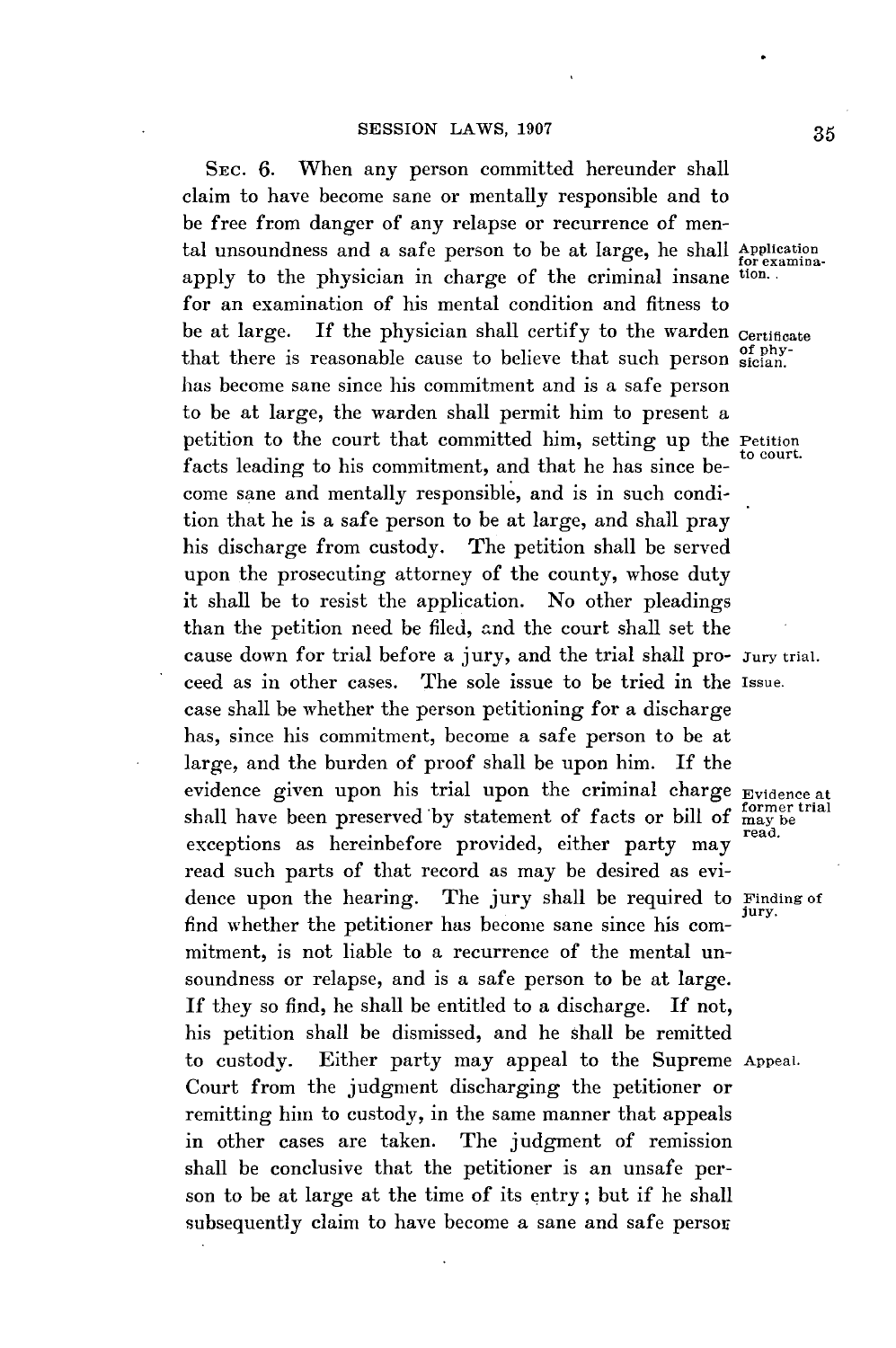SEC. **6.** When any person committed hereunder shall claim to have become sane or mentally responsible and to be free from danger of any relapse or recurrence of mental unsoundness and a safe person to be at large, he shall Application apply to the physician in charge of the criminal insane tion. for an examination of his mental condition and fitness to be at large. If the physician shall certify to the warden certificate that there is reasonable cause to believe that such person  $\frac{1}{\text{st} \min}$ has become sane since his commitment and is a safe person to be at large, the warden shall permit him to present a petition to the court that committed him, setting up the Petition facts leading to his commitment, and that he has since become sane and mentally responsible, and is in such condition that he is a safe person to be at large, and shall pray his discharge from custody. The petition shall be served upon the prosecuting attorney of the county, whose duty it shall be to resist the application. No other pleadings than the petition need be **filed,** and the court shall set the cause down for trial before a jury, and the trial shall pro- Jury trial. ceed as in other cases. The sole issue to be tried in the Issue. case shall be whether the person petitioning for a discharge has, since his commitment, become a safe person to be at large, and the burden of proof shall be upon him. If the evidence given upon his trial upon the criminal charge Evidence at shall have been preserved by statement of facts or bill of may be<br>the criminal charge Evidence at former trial exceptions as hereinbefore provided, either party may read such parts of that record as may be desired as evidence upon the hearing. The jury shall be required to Finding of find whether the petitioner has become sane since his commitment, is not liable to a recurrence of the mental unsoundness or relapse, and is a safe person to be at large. **If** they so find, he shall be entitled to a discharge. **If** not, his petition shall be dismissed, and he shall be remitted to custody. Either party may appeal to the Supreme Appeal. Court from the judgment discharging the petitioner or remitting him to custody, in the same manner that appeals in other cases are taken. The judgment of remission shall be conclusive that the petitioner is an unsafe person to be at large at the time of its entry; but if he shall subsequently claim to have become a sane and safe persor

for examina-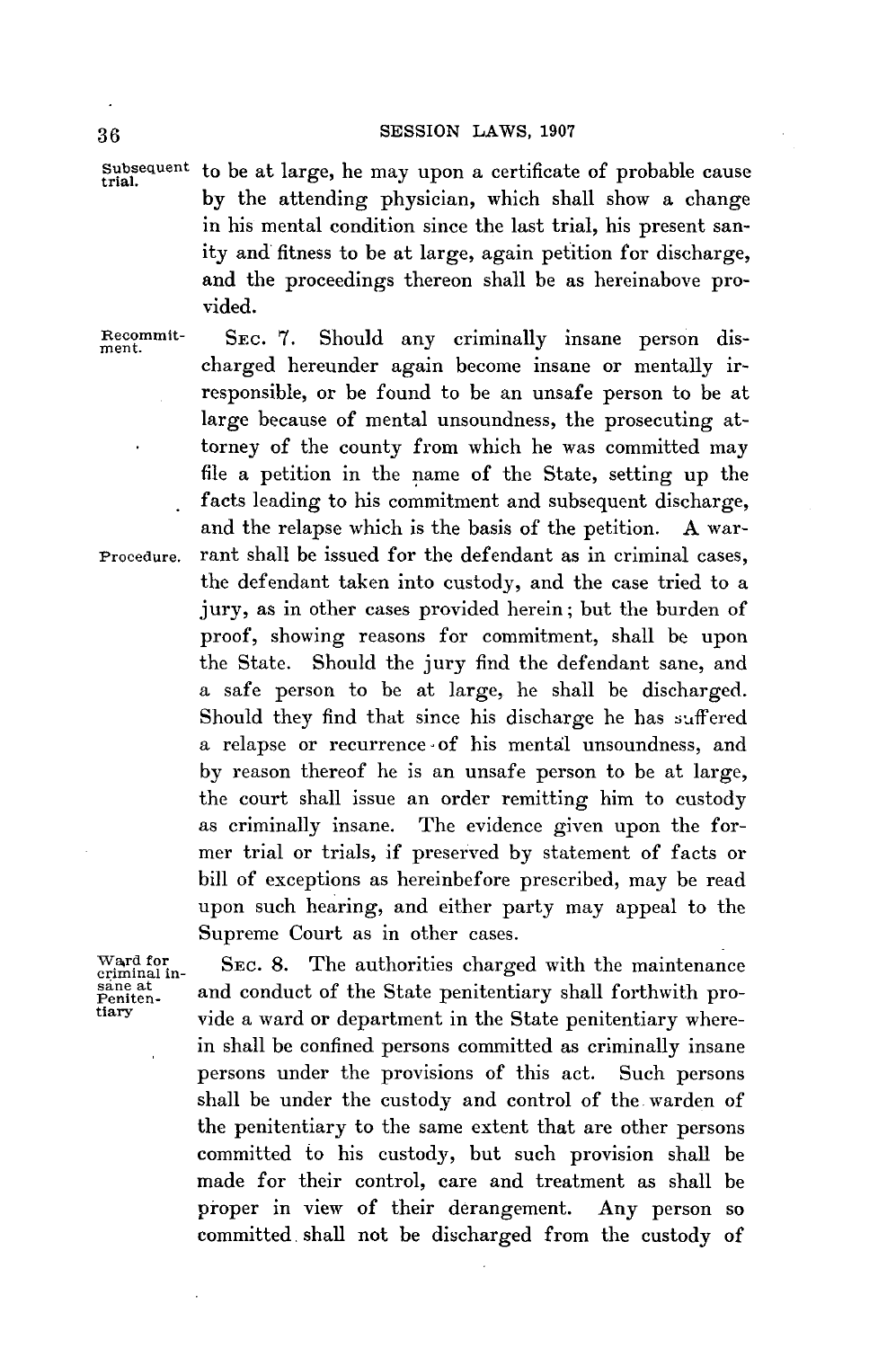**Subsequent** to **be** at large, he may upon a certificate of probable cause **by** the attending physician, which shall show a change in his mental condition since the last trial, his present sanity and fitness to be at large, again petition for discharge, and the proceedings thereon shall be as hereinabove provided.

**Recommit- SEc. 7.** Should any criminally insane person dis- **ment.**

charged hereunder again become insane or mentally irresponsible, or be found to be an unsafe person to be at large because of mental unsoundness, the prosecuting attorney of the county from which he was committed may file a petition in the name of the State, setting up the facts leading to his commitment and subsequent discharge, and the relapse which is the basis of the petition. **A** war-**Procedure.** rant shall be issued for the defendant as in criminal cases, the defendant taken into custody, and the case tried to a jury, as in other cases provided herein; but the burden of proof, showing reasons for commitment, shall be upon the State. Should the jury find the defendant sane, and a safe person to be at large, he shall be discharged. Should they find that since his discharge he has suffered a relapse or recurrence -of his mental unsoundness, and **by** reason thereof he is an unsafe person to be at large, the court shall issue an order remitting him to custody as criminally insane. The evidence given upon the former trial or trials, if preserved **by** statement of facts or bill of exceptions as hereinbefore prescribed, may be read upon such hearing, and either party may appeal to the Supreme Court as in other cases.

Ward for **SEC. 8.** The authorities charged with the maintenance sine at and conduct of the State penitentiary shall forthwith pro-**Penien-** and conduct of the State penitentiary shall forthwith pro- **tiary** vide a ward or department in the State penitentiary wherein shall be confined persons committed as criminally insane persons under the provisions of this act. Such persons shall be under the custody and control of the warden of the penitentiary to the same extent that are other persons committed to his custody, but such provision shall be made for their control, care and treatment as shall be proper in view of their derangement. Any person so committed. shall not be discharged from the custody of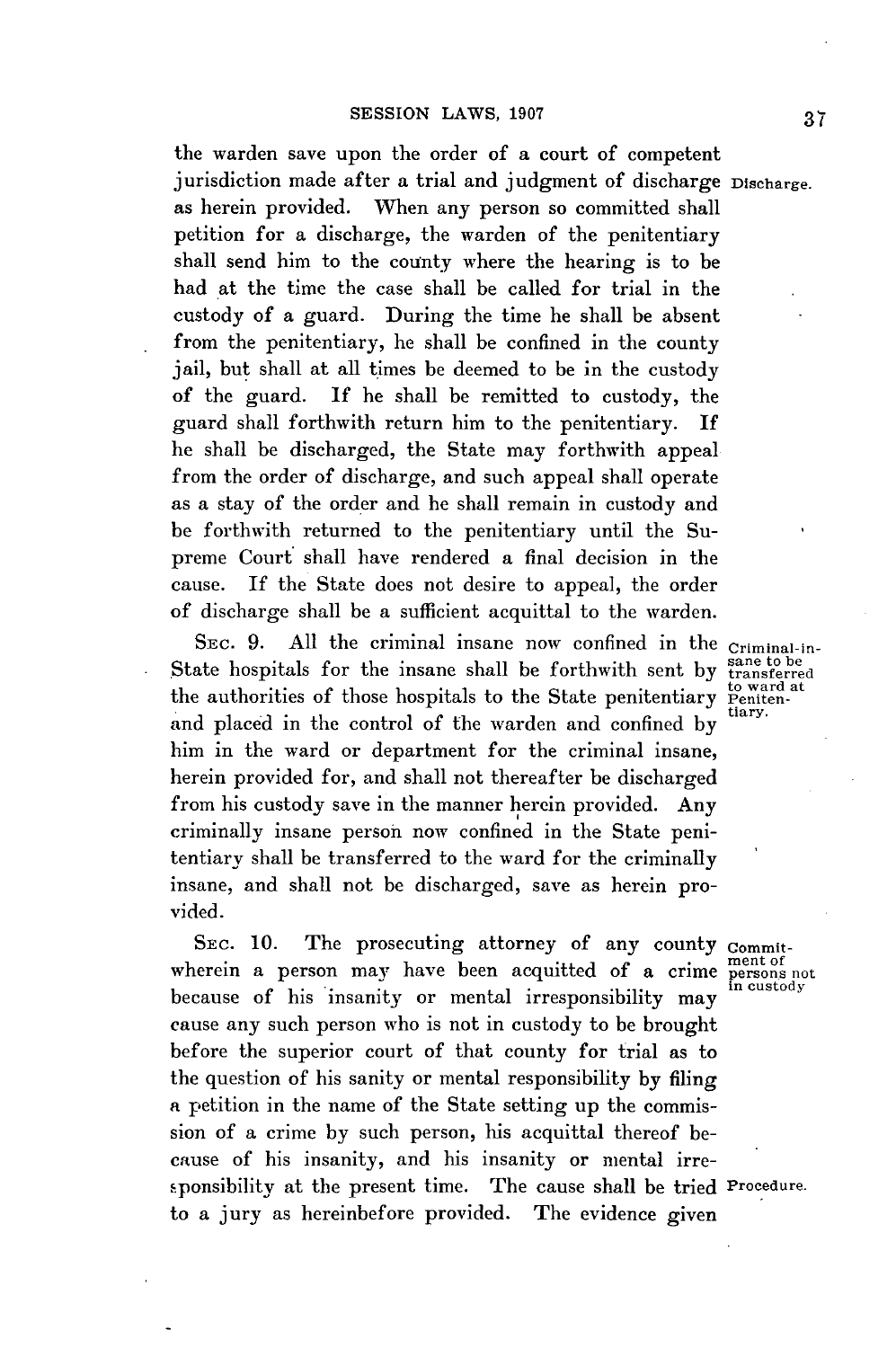the warden save upon the order of a court of competent jurisdiction made after a trial and judgment of discharge Discharge. as herein provided. When any person so committed shall petition for a discharge, the warden of the penitentiary shall send him to the county where the hearing is to be had at the time the case shall be called for trial in the custody of a guard. During the time he shall be absent from the penitentiary, he shall be confined in the county jail, but shall at all times be deemed to be in the custody of the guard. **If** he shall be remitted to custody, the guard shall forthwith return him to the penitentiary. **If** he shall be discharged, the State may forthwith appeal from the order of discharge, and such appeal shall operate as a stay of the order and he shall remain in custody and be forthwith returned to the penitentiary until the Supreme Court shall have rendered a final decision in the cause. If the State does not desire to appeal, the order of discharge shall be a sufficient acquittal to the warden.

SEC. 9. All the criminal insane now confined in the criminal-in-<br>State hospitals for the insane shall be forthwith sent by <sup>sane to be</sup><br>the authorities of those hospitals to the State penitentiary  $_{\text{Peniten}}^{\text{total at}}$ the authorities of those hospitals to the State penitentiary  $\frac{10 \text{ wa}}{\text{heat}}$ and placed in the control of the warden and confined by him in the ward or department for the criminal insane, herein provided for, and shall not thereafter be discharged from his custody save in the manner herein provided. Any criminally insane person now confined in the State penitentiary shall be transferred to the ward for the criminally insane, and shall not be discharged, save as herein provided.

SEC. 10. The prosecuting attorney of any county Commitwherein a person may have been acquitted of a crime persons not because of his insanity or mental irresponsibility may in custody cause any such person who is not in custody to be brought before the superior court of that county for trial as to the question of his sanity or mental responsibility **by** filing a petition in the name of the State setting up the commission of a crime **by** such person, his acquittal thereof because of his insanity, and his insanity or mental irresponsibility at the present time. The cause shall be tried Procedure. to a jury as hereinbefore provided. The evidence given